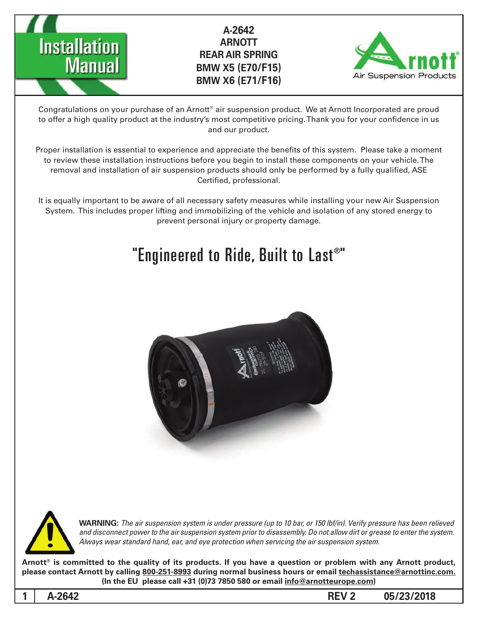



Congratulations on your purchase of an Arnott® air suspension product. We at Arnott Incorporated are proud to offer a high quality product at the industry's most competitive pricing. Thank you for your confidence in us and our product.

Proper installation is essential to experience and appreciate the benefits of this system. Please take a moment to review these installation instructions before you begin to install these components on your vehicle. The removal and installation of air suspension products should only be performed by a fully qualified, ASE Certified, professional.

It is equally important to be aware of all necessary safety measures while installing your new Air Suspension System. This includes proper lifting and immobilizing of the vehicle and isolation of any stored energy to prevent personal injury or property damage.

# "Engineered to Ride, Built to Last®"





*WARNING: The air suspension system is under pressure (up to 10 bar, or 150 lbf/in). Verify pressure has been relieved* and disconnect power to the air suspension system prior to disassembly. Do not allow dirt or grease to enter the system. Always wear standard hand, ear, and eye protection when servicing the air suspension system.

Arnott<sup>®</sup> is committed to the quality of its products. If you have a question or problem with any Arnott product, please contact Arnott by calling 800-251-8993 during normal business hours or email techassistance@arnottinc.com. (In the EU please call +31 (0)73 7850 580 or email info@arnotteurope.com)

**05/23/2018 2 REV -2642A 1**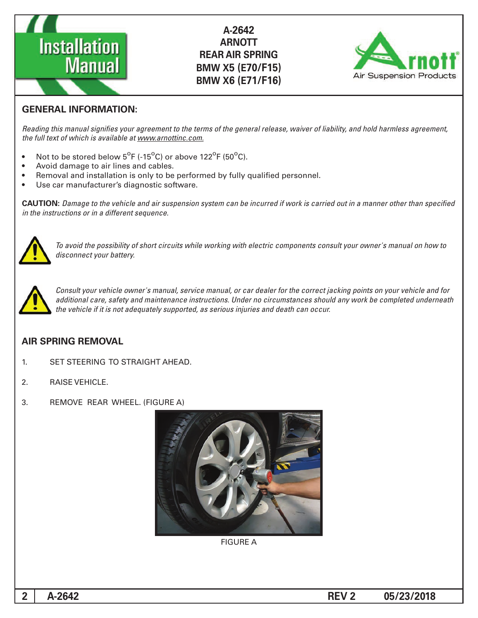



### **GENERAL INFORMATION:**

Reading this manual signifies your agreement to the terms of the general release, waiver of liability, and hold harmless agreement, the full text of which is available at www.arnottinc.com.

- Not to be stored below  $5^{\circ}$ F (-15 $^{\circ}$ C) or above 122 $^{\circ}$ F (50 $^{\circ}$ C).
- Avoid damage to air lines and cables.
- Removal and installation is only to be performed by fully qualified personnel.
- Use car manufacturer's diagnostic software.

**CAUTION:** Damage to the vehicle and air suspension system can be incurred if work is carried out in a manner other than specified *in the instructions or in a different sequence.* 



 *to how on manual s'owner your consult components electric with working while circuits short of possibility the avoid To* disconnect your battery.



*Consult your vehicle owner's manual, service manual, or car dealer for the correct jacking points on your vehicle and for* additional care, safety and maintenance instructions. Under no circumstances should any work be completed underneath the vehicle if it is not adequately supported, as serious injuries and death can occur.

#### **AIR SPRING REMOVAL**

- 1. SET STEERING TO STRAIGHT AHEAD.
- 2. RAISE VEHICLE.
- 3. REMOVE REAR WHEEL. (FIGURE A)



**FIGURE A**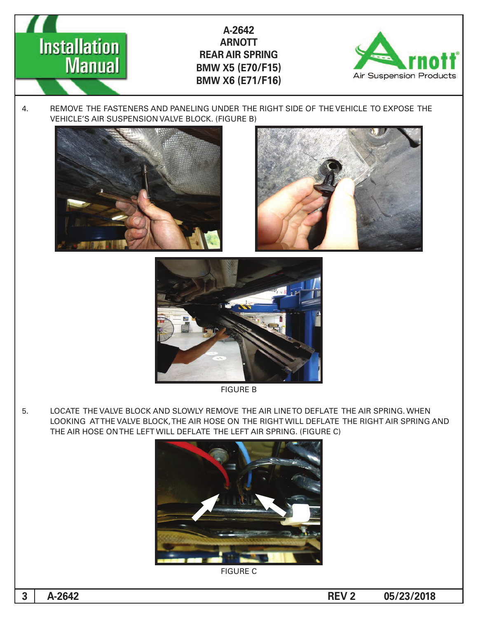

4. REMOVE THE FASTENERS AND PANELING UNDER THE RIGHT SIDE OF THE VEHICLE TO EXPOSE THE VEHICLE'S AIR SUSPENSION VALVE BLOCK. (FIGURE B)



**Installation** 

**Manual** 





**FIGURE B** 

5. LOCATE THE VALVE BLOCK AND SLOWLY REMOVE THE AIR LINE TO DEFLATE THE AIR SPRING. WHEN LOOKING ATTHE VALVE BLOCK, THE AIR HOSE ON THE RIGHT WILL DEFLATE THE RIGHT AIR SPRING AND THE AIR HOSE ON THE LEFT WILL DEFLATE THE LEFT AIR SPRING. (FIGURE C)



**FIGURE C**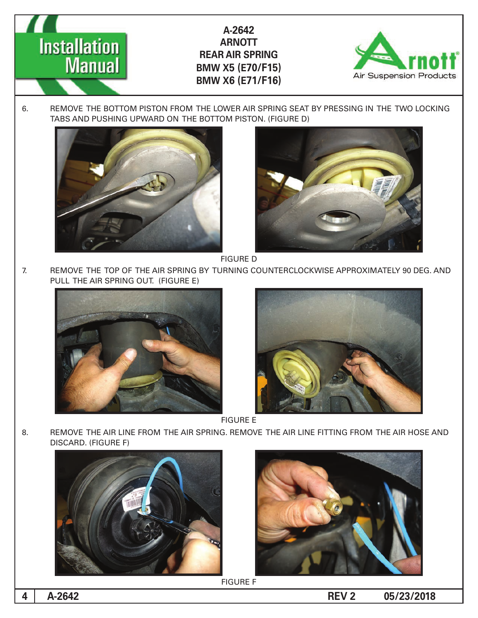

6. REMOVE THE BOTTOM PISTON FROM THE LOWER AIR SPRING SEAT BY PRESSING IN THE TWO LOCKING TABS AND PUSHING UPWARD ON THE BOTTOM PISTON. (FIGURE D)



**Installation** 

**Manual** 



**FIGURE D** 

7. AND REMOVE THE TOP OF THE AIR SPRING BY TURNING COUNTERCLOCKWISE APPROXIMATELY 90 DEG. AND PULL THE AIR SPRING OUT. (FIGURE E)





**FIGURE E** 

8. BEMOVE THE AIR LINE FROM THE AIR SPRING. REMOVE THE AIR LINE FITTING FROM THE AIR HOSE AND DISCARD. (FIGURE F)





**FIGURE F**